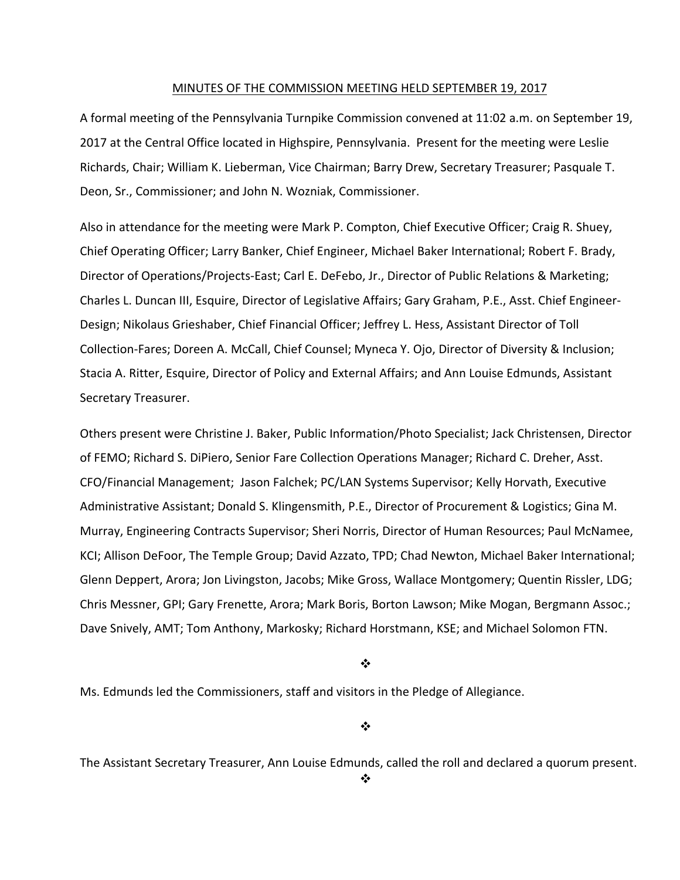#### MINUTES OF THE COMMISSION MEETING HELD SEPTEMBER 19, 2017

A formal meeting of the Pennsylvania Turnpike Commission convened at 11:02 a.m. on September 19, 2017 at the Central Office located in Highspire, Pennsylvania. Present for the meeting were Leslie Richards, Chair; William K. Lieberman, Vice Chairman; Barry Drew, Secretary Treasurer; Pasquale T. Deon, Sr., Commissioner; and John N. Wozniak, Commissioner.

Also in attendance for the meeting were Mark P. Compton, Chief Executive Officer; Craig R. Shuey, Chief Operating Officer; Larry Banker, Chief Engineer, Michael Baker International; Robert F. Brady, Director of Operations/Projects‐East; Carl E. DeFebo, Jr., Director of Public Relations & Marketing; Charles L. Duncan III, Esquire, Director of Legislative Affairs; Gary Graham, P.E., Asst. Chief Engineer‐ Design; Nikolaus Grieshaber, Chief Financial Officer; Jeffrey L. Hess, Assistant Director of Toll Collection‐Fares; Doreen A. McCall, Chief Counsel; Myneca Y. Ojo, Director of Diversity & Inclusion; Stacia A. Ritter, Esquire, Director of Policy and External Affairs; and Ann Louise Edmunds, Assistant Secretary Treasurer.

Others present were Christine J. Baker, Public Information/Photo Specialist; Jack Christensen, Director of FEMO; Richard S. DiPiero, Senior Fare Collection Operations Manager; Richard C. Dreher, Asst. CFO/Financial Management; Jason Falchek; PC/LAN Systems Supervisor; Kelly Horvath, Executive Administrative Assistant; Donald S. Klingensmith, P.E., Director of Procurement & Logistics; Gina M. Murray, Engineering Contracts Supervisor; Sheri Norris, Director of Human Resources; Paul McNamee, KCI; Allison DeFoor, The Temple Group; David Azzato, TPD; Chad Newton, Michael Baker International; Glenn Deppert, Arora; Jon Livingston, Jacobs; Mike Gross, Wallace Montgomery; Quentin Rissler, LDG; Chris Messner, GPI; Gary Frenette, Arora; Mark Boris, Borton Lawson; Mike Mogan, Bergmann Assoc.; Dave Snively, AMT; Tom Anthony, Markosky; Richard Horstmann, KSE; and Michael Solomon FTN.

 $\cdot$ 

Ms. Edmunds led the Commissioners, staff and visitors in the Pledge of Allegiance.

❖

The Assistant Secretary Treasurer, Ann Louise Edmunds, called the roll and declared a quorum present.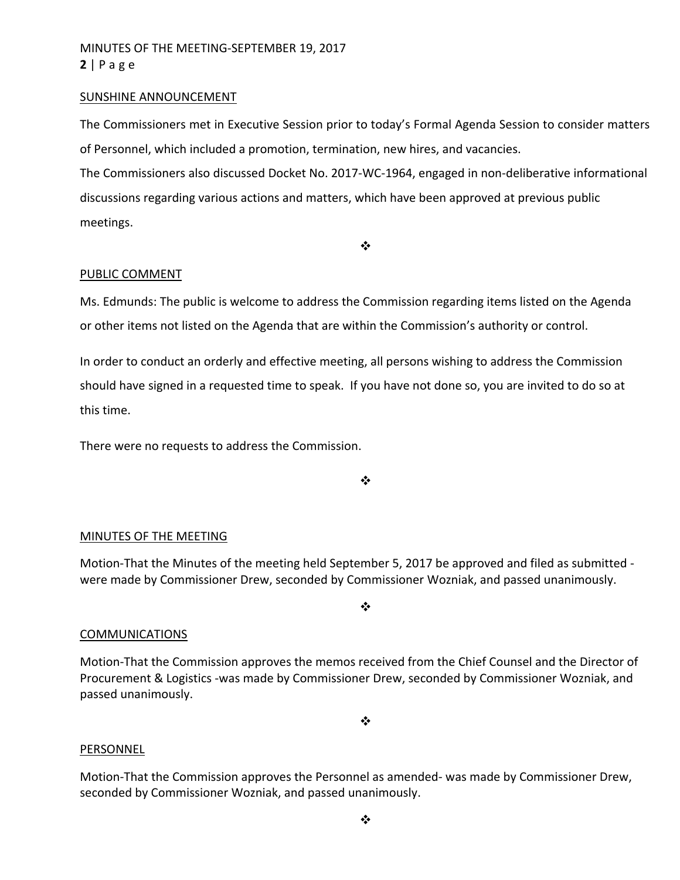# MINUTES OF THE MEETING‐SEPTEMBER 19, 2017 **2** | Page

### SUNSHINE ANNOUNCEMENT

The Commissioners met in Executive Session prior to today's Formal Agenda Session to consider matters of Personnel, which included a promotion, termination, new hires, and vacancies. The Commissioners also discussed Docket No. 2017‐WC‐1964, engaged in non‐deliberative informational discussions regarding various actions and matters, which have been approved at previous public meetings.

 $\bullet^{\bullet}_{\bullet} \bullet$ 

### PUBLIC COMMENT

Ms. Edmunds: The public is welcome to address the Commission regarding items listed on the Agenda or other items not listed on the Agenda that are within the Commission's authority or control.

In order to conduct an orderly and effective meeting, all persons wishing to address the Commission should have signed in a requested time to speak. If you have not done so, you are invited to do so at this time.

There were no requests to address the Commission.

❖

#### MINUTES OF THE MEETING

Motion-That the Minutes of the meeting held September 5, 2017 be approved and filed as submitted were made by Commissioner Drew, seconded by Commissioner Wozniak, and passed unanimously.

#### ❖

#### COMMUNICATIONS

Motion‐That the Commission approves the memos received from the Chief Counsel and the Director of Procurement & Logistics ‐was made by Commissioner Drew, seconded by Commissioner Wozniak, and passed unanimously.

 $\bullet^{\bullet}_{\bullet} \bullet$ 

#### PERSONNEL

Motion‐That the Commission approves the Personnel as amended‐ was made by Commissioner Drew, seconded by Commissioner Wozniak, and passed unanimously.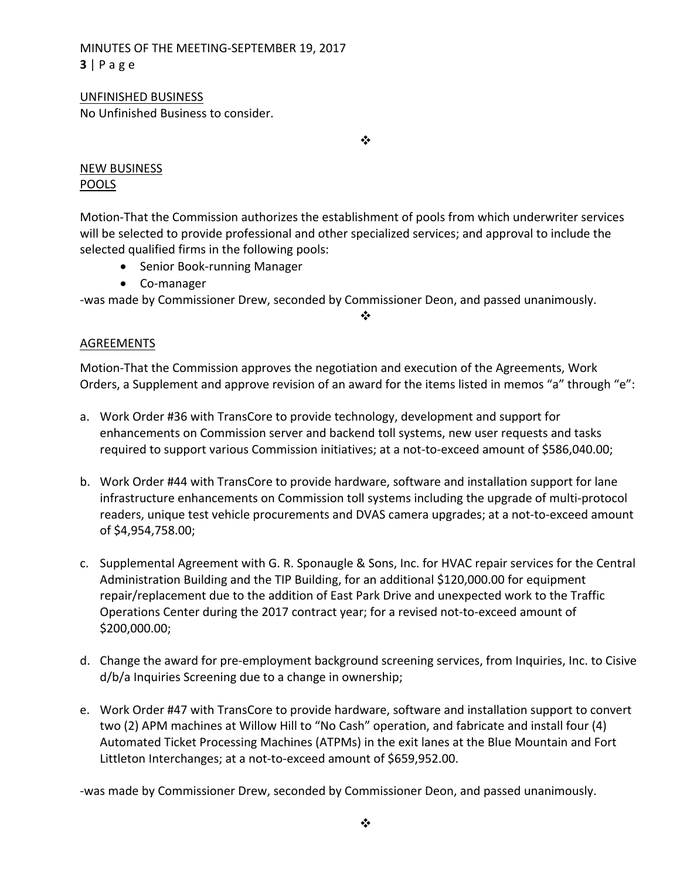# MINUTES OF THE MEETING‐SEPTEMBER 19, 2017 **3** | Page

### UNFINISHED BUSINESS

No Unfinished Business to consider.

 $\cdot$ 

## NEW BUSINESS POOLS

Motion‐That the Commission authorizes the establishment of pools from which underwriter services will be selected to provide professional and other specialized services; and approval to include the selected qualified firms in the following pools:

- Senior Book-running Manager
- Co-manager

‐was made by Commissioner Drew, seconded by Commissioner Deon, and passed unanimously.

❖

## AGREEMENTS

Motion‐That the Commission approves the negotiation and execution of the Agreements, Work Orders, a Supplement and approve revision of an award for the items listed in memos "a" through "e":

- a. Work Order #36 with TransCore to provide technology, development and support for enhancements on Commission server and backend toll systems, new user requests and tasks required to support various Commission initiatives; at a not-to-exceed amount of \$586,040.00;
- b. Work Order #44 with TransCore to provide hardware, software and installation support for lane infrastructure enhancements on Commission toll systems including the upgrade of multi‐protocol readers, unique test vehicle procurements and DVAS camera upgrades; at a not-to-exceed amount of \$4,954,758.00;
- c. Supplemental Agreement with G. R. Sponaugle & Sons, Inc. for HVAC repair services for the Central Administration Building and the TIP Building, for an additional \$120,000.00 for equipment repair/replacement due to the addition of East Park Drive and unexpected work to the Traffic Operations Center during the 2017 contract year; for a revised not‐to‐exceed amount of \$200,000.00;
- d. Change the award for pre‐employment background screening services, from Inquiries, Inc. to Cisive d/b/a Inquiries Screening due to a change in ownership;
- e. Work Order #47 with TransCore to provide hardware, software and installation support to convert two (2) APM machines at Willow Hill to "No Cash" operation, and fabricate and install four (4) Automated Ticket Processing Machines (ATPMs) in the exit lanes at the Blue Mountain and Fort Littleton Interchanges; at a not‐to‐exceed amount of \$659,952.00.

‐was made by Commissioner Drew, seconded by Commissioner Deon, and passed unanimously.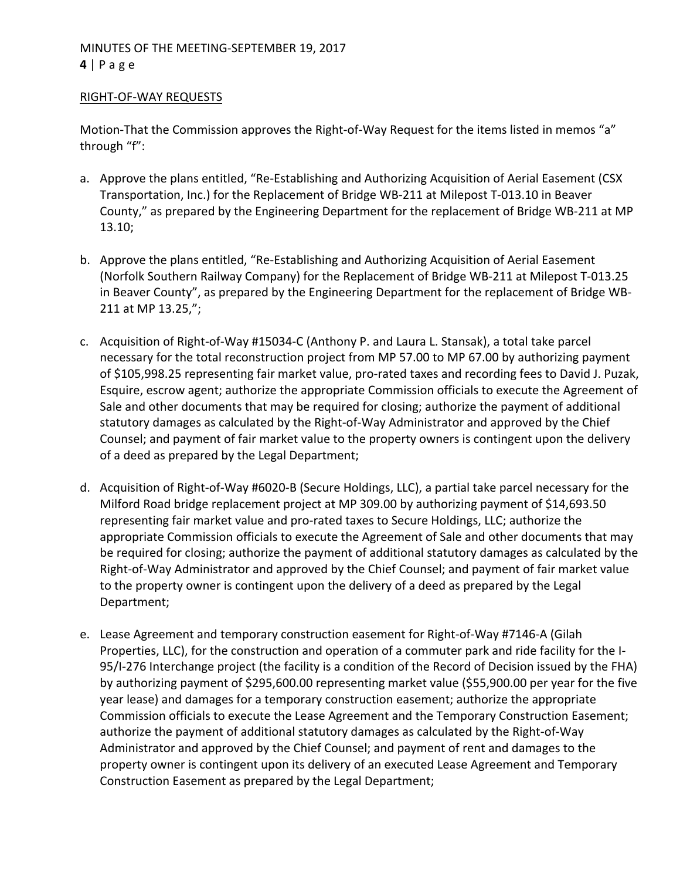### RIGHT‐OF‐WAY REQUESTS

Motion-That the Commission approves the Right-of-Way Request for the items listed in memos "a" through "f":

- a. Approve the plans entitled, "Re‐Establishing and Authorizing Acquisition of Aerial Easement (CSX Transportation, Inc.) for the Replacement of Bridge WB‐211 at Milepost T‐013.10 in Beaver County," as prepared by the Engineering Department for the replacement of Bridge WB‐211 at MP 13.10;
- b. Approve the plans entitled, "Re‐Establishing and Authorizing Acquisition of Aerial Easement (Norfolk Southern Railway Company) for the Replacement of Bridge WB‐211 at Milepost T‐013.25 in Beaver County", as prepared by the Engineering Department for the replacement of Bridge WB‐ 211 at MP 13.25,";
- c. Acquisition of Right‐of‐Way #15034‐C (Anthony P. and Laura L. Stansak), a total take parcel necessary for the total reconstruction project from MP 57.00 to MP 67.00 by authorizing payment of \$105,998.25 representing fair market value, pro‐rated taxes and recording fees to David J. Puzak, Esquire, escrow agent; authorize the appropriate Commission officials to execute the Agreement of Sale and other documents that may be required for closing; authorize the payment of additional statutory damages as calculated by the Right‐of‐Way Administrator and approved by the Chief Counsel; and payment of fair market value to the property owners is contingent upon the delivery of a deed as prepared by the Legal Department;
- d. Acquisition of Right‐of‐Way #6020‐B (Secure Holdings, LLC), a partial take parcel necessary for the Milford Road bridge replacement project at MP 309.00 by authorizing payment of \$14,693.50 representing fair market value and pro‐rated taxes to Secure Holdings, LLC; authorize the appropriate Commission officials to execute the Agreement of Sale and other documents that may be required for closing; authorize the payment of additional statutory damages as calculated by the Right‐of‐Way Administrator and approved by the Chief Counsel; and payment of fair market value to the property owner is contingent upon the delivery of a deed as prepared by the Legal Department;
- e. Lease Agreement and temporary construction easement for Right‐of‐Way #7146‐A (Gilah Properties, LLC), for the construction and operation of a commuter park and ride facility for the I‐ 95/I-276 Interchange project (the facility is a condition of the Record of Decision issued by the FHA) by authorizing payment of \$295,600.00 representing market value (\$55,900.00 per year for the five year lease) and damages for a temporary construction easement; authorize the appropriate Commission officials to execute the Lease Agreement and the Temporary Construction Easement; authorize the payment of additional statutory damages as calculated by the Right‐of‐Way Administrator and approved by the Chief Counsel; and payment of rent and damages to the property owner is contingent upon its delivery of an executed Lease Agreement and Temporary Construction Easement as prepared by the Legal Department;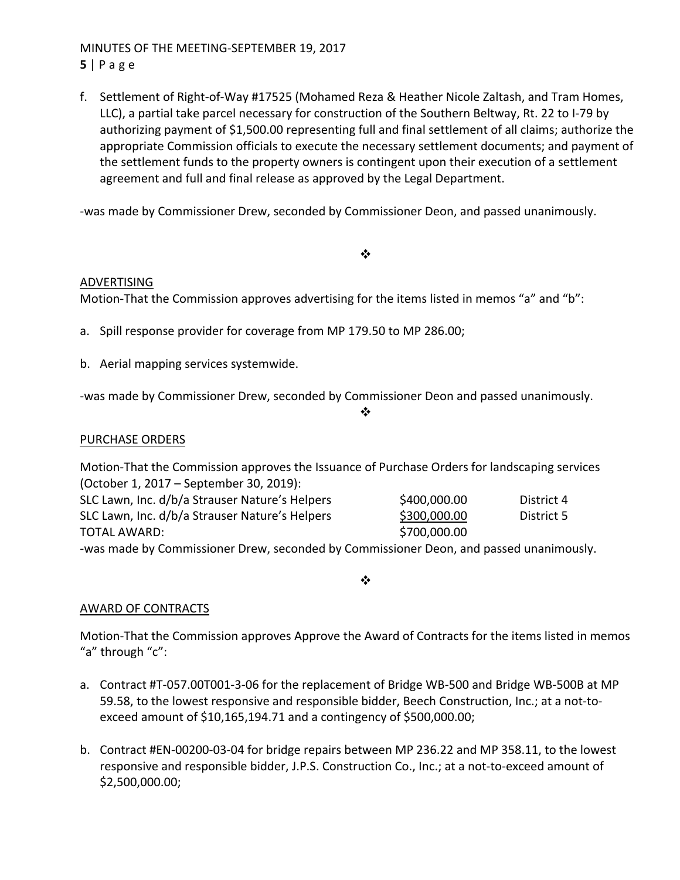# MINUTES OF THE MEETING‐SEPTEMBER 19, 2017 **5** | Page

f. Settlement of Right‐of‐Way #17525 (Mohamed Reza & Heather Nicole Zaltash, and Tram Homes, LLC), a partial take parcel necessary for construction of the Southern Beltway, Rt. 22 to I‐79 by authorizing payment of \$1,500.00 representing full and final settlement of all claims; authorize the appropriate Commission officials to execute the necessary settlement documents; and payment of the settlement funds to the property owners is contingent upon their execution of a settlement agreement and full and final release as approved by the Legal Department.

‐was made by Commissioner Drew, seconded by Commissioner Deon, and passed unanimously.

#### $\cdot$

### ADVERTISING

Motion-That the Commission approves advertising for the items listed in memos "a" and "b":

- a. Spill response provider for coverage from MP 179.50 to MP 286.00;
- b. Aerial mapping services systemwide.

‐was made by Commissioner Drew, seconded by Commissioner Deon and passed unanimously.

#### $\cdot$

### PURCHASE ORDERS

Motion‐That the Commission approves the Issuance of Purchase Orders for landscaping services (October 1, 2017 – September 30, 2019): SLC Lawn, Inc. d/b/a Strauser Nature's Helpers \$400,000.00 District 4

| SLC Lawn, Inc. d/b/a Strauser Nature's Helpers | \$300,000.00 | District 5 |
|------------------------------------------------|--------------|------------|
| TOTAL AWARD:                                   | \$700,000.00 |            |
|                                                | $\sim$       |            |

‐was made by Commissioner Drew, seconded by Commissioner Deon, and passed unanimously.

 $\bullet^{\bullet}_{\mathbf{a}^{\bullet}}$ 

# AWARD OF CONTRACTS

Motion‐That the Commission approves Approve the Award of Contracts for the items listed in memos "a" through "c":

- a. Contract #T‐057.00T001‐3‐06 for the replacement of Bridge WB‐500 and Bridge WB‐500B at MP 59.58, to the lowest responsive and responsible bidder, Beech Construction, Inc.; at a not-toexceed amount of \$10,165,194.71 and a contingency of \$500,000.00;
- b. Contract #EN‐00200‐03‐04 for bridge repairs between MP 236.22 and MP 358.11, to the lowest responsive and responsible bidder, J.P.S. Construction Co., Inc.; at a not‐to‐exceed amount of \$2,500,000.00;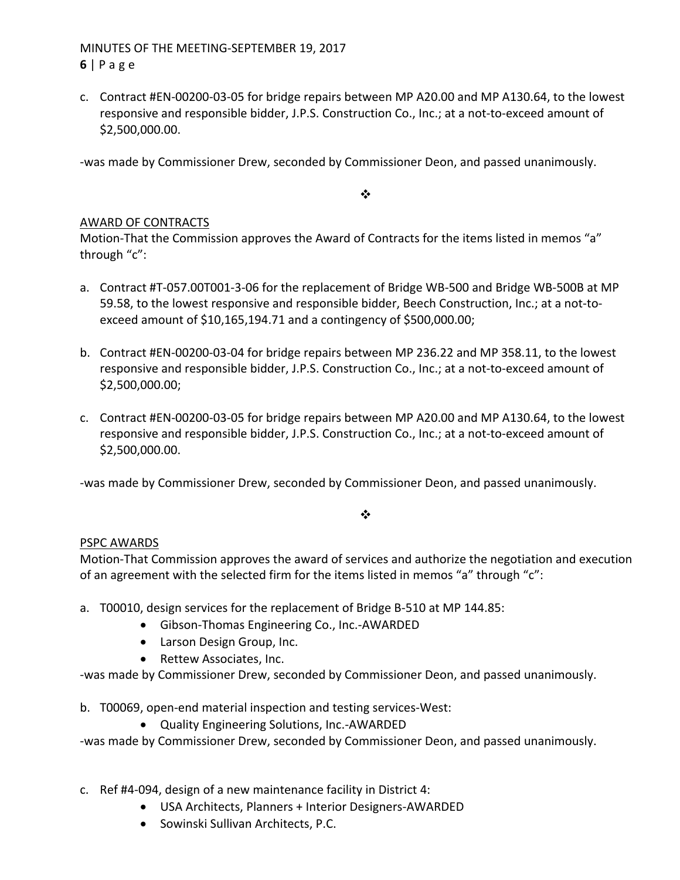# MINUTES OF THE MEETING‐SEPTEMBER 19, 2017 **6** | Page

c. Contract #EN‐00200‐03‐05 for bridge repairs between MP A20.00 and MP A130.64, to the lowest responsive and responsible bidder, J.P.S. Construction Co., Inc.; at a not‐to‐exceed amount of \$2,500,000.00.

‐was made by Commissioner Drew, seconded by Commissioner Deon, and passed unanimously.

 $\bullet^{\bullet}_{\bullet} \bullet$ 

# AWARD OF CONTRACTS

Motion-That the Commission approves the Award of Contracts for the items listed in memos "a" through "c":

- a. Contract #T‐057.00T001‐3‐06 for the replacement of Bridge WB‐500 and Bridge WB‐500B at MP 59.58, to the lowest responsive and responsible bidder, Beech Construction, Inc.; at a not‐to‐ exceed amount of \$10,165,194.71 and a contingency of \$500,000.00;
- b. Contract #EN‐00200‐03‐04 for bridge repairs between MP 236.22 and MP 358.11, to the lowest responsive and responsible bidder, J.P.S. Construction Co., Inc.; at a not‐to‐exceed amount of \$2,500,000.00;
- c. Contract #EN‐00200‐03‐05 for bridge repairs between MP A20.00 and MP A130.64, to the lowest responsive and responsible bidder, J.P.S. Construction Co., Inc.; at a not‐to‐exceed amount of \$2,500,000.00.

‐was made by Commissioner Drew, seconded by Commissioner Deon, and passed unanimously.

### $\bullet^{\bullet}_{\bullet} \bullet$

### PSPC AWARDS

Motion‐That Commission approves the award of services and authorize the negotiation and execution of an agreement with the selected firm for the items listed in memos "a" through "c":

- a. T00010, design services for the replacement of Bridge B‐510 at MP 144.85:
	- Gibson-Thomas Engineering Co., Inc.-AWARDED
	- Larson Design Group, Inc.
	- Rettew Associates, Inc.

‐was made by Commissioner Drew, seconded by Commissioner Deon, and passed unanimously.

b. T00069, open-end material inspection and testing services-West:

● Quality Engineering Solutions, Inc.-AWARDED

‐was made by Commissioner Drew, seconded by Commissioner Deon, and passed unanimously.

- c. Ref #4‐094, design of a new maintenance facility in District 4:
	- USA Architects, Planners + Interior Designers-AWARDED
	- **•** Sowinski Sullivan Architects, P.C.